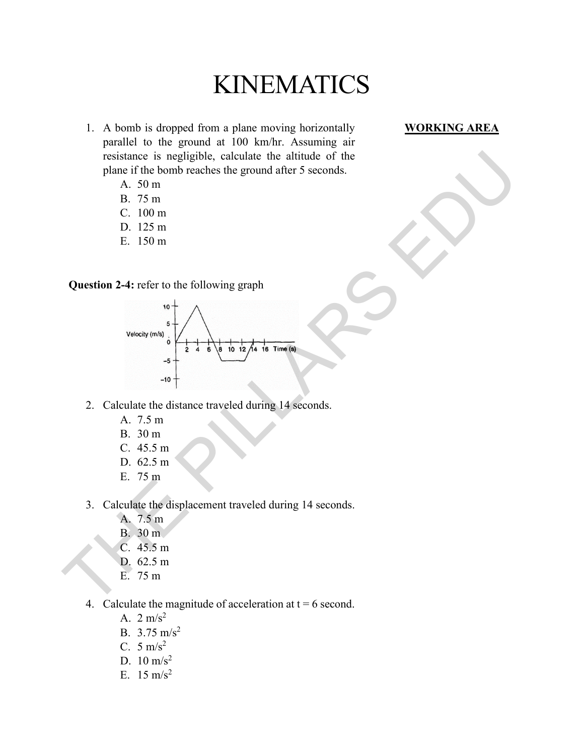# KINEMATICS

- 1. A bomb is dropped from a plane moving horizontally parallel to the ground at 100 km/hr. Assuming air resistance is negligible, calculate the altitude of the plane if the bomb reaches the ground after 5 seconds.
	- A. 50 m
	- B. 75 m
	- C. 100 m
	- D. 125 m
	- E. 150 m

**Question 2-4:** refer to the following graph



- 2. Calculate the distance traveled during 14 seconds.
	- A. 7.5 m
	- B. 30 m
	- C. 45.5 m
	- D. 62.5 m
	- E. 75 m
- 3. Calculate the displacement traveled during 14 seconds.
	- A. 7.5 m
	- B. 30 m
	- C. 45.5 m
	- D. 62.5 m
	- E. 75 m
- 4. Calculate the magnitude of acceleration at  $t = 6$  second.
	- A.  $2 \text{ m/s}^2$
	- B.  $3.75 \text{ m/s}^2$
	- C.  $5 \text{ m/s}^2$
	- D.  $10 \text{ m/s}^2$
	- E.  $15 \text{ m/s}^2$

#### **WORKING AREA**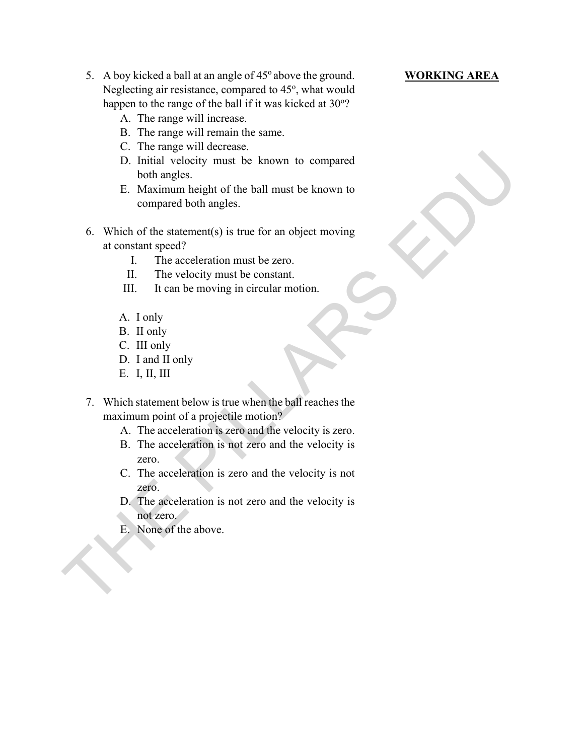- 5. A boy kicked a ball at an angle of  $45^\circ$  above the ground. Neglecting air resistance, compared to 45°, what would happen to the range of the ball if it was kicked at 30°?
	- A. The range will increase.
	- B. The range will remain the same.
	- C. The range will decrease.
	- D. Initial velocity must be known to compared both angles.

- E. Maximum height of the ball must be known to compared both angles.
- 6. Which of the statement(s) is true for an object moving at constant speed? 1. Initial velocity must be known to compared<br>
both angles.<br>
L. Maximum height of the ball must be known to<br>
compared both angles.<br>
<br> **C.** Which of the statement(s) is true for an object moving<br>
at constant speed?<br>
I. The
	- I. The acceleration must be zero.
	- II. The velocity must be constant.
	- III. It can be moving in circular motion.
	- A. I only
	- B. II only
	- C. III only
	- D. I and II only
	- E. I, II, III

7. Which statement below is true when the ball reaches the maximum point of a projectile motion?

- A. The acceleration is zero and the velocity is zero.
- B. The acceleration is not zero and the velocity is zero.
- C. The acceleration is zero and the velocity is not zero.
- D. The acceleration is not zero and the velocity is not zero.
- E. None of the above.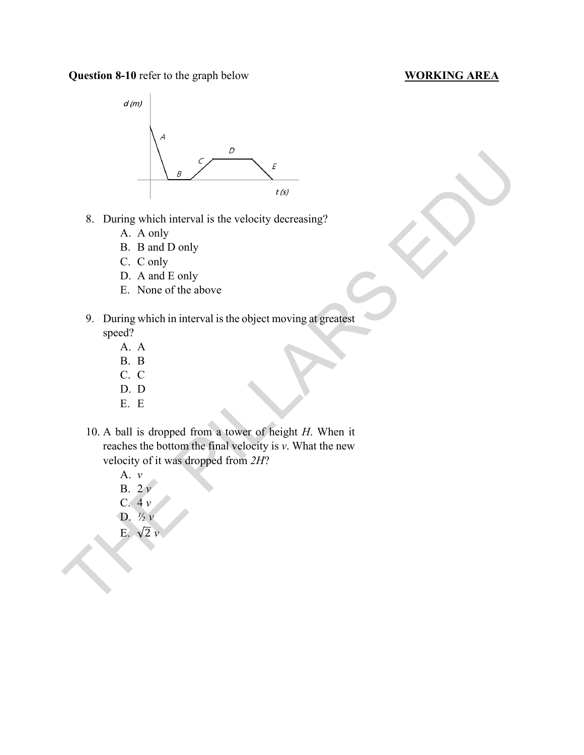# **Question 8-10** refer to the graph below



- 8. During which interval is the velocity decreasing?
	- A. A only
	- B. B and D only
	- C. C only
	- D. A and E only
	- E. None of the above
- 9. During which in interval is the object moving at greatest speed?
	- A. A
	- B. B
	- C. C
	- D. D
	- E. E
- 10. A ball is dropped from a tower of height *H*. When it reaches the bottom the final velocity is *v*. What the new velocity of it was dropped from *2H*?
	- A. *v*
	- **B.**  $2v$
	- C. 4 *v*
	- D. *½ v*
	- E.  $\sqrt{2}$  *v*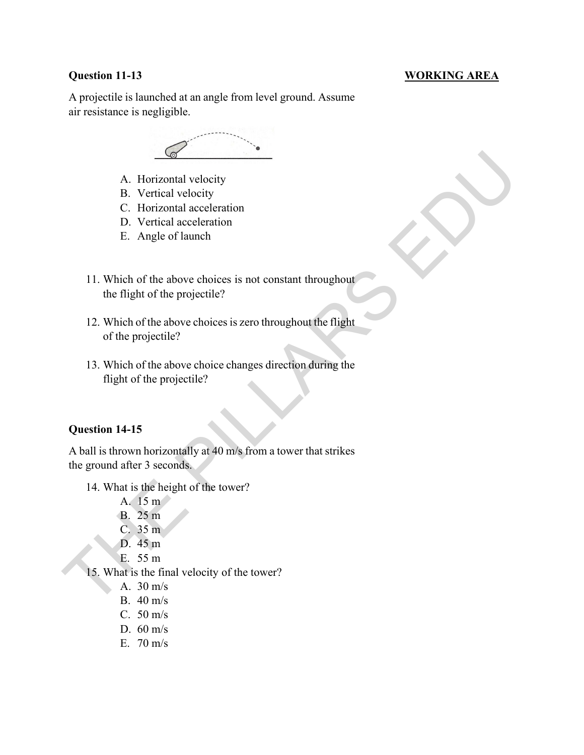#### **Question 11-13**

A projectile is launched at an angle from level ground. Assume air resistance is negligible.



- A. Horizontal velocity
- B. Vertical velocity
- C. Horizontal acceleration
- D. Vertical acceleration
- E. Angle of launch
- 11. Which of the above choices is not constant throughout the flight of the projectile?
- 12. Which of the above choices is zero throughout the flight of the projectile?
- 13. Which of the above choice changes direction during the flight of the projectile?

# **Question 14-15**

A ball is thrown horizontally at 40 m/s from a tower that strikes the ground after 3 seconds. A. Horizontal velocity<br>
B. Vertical velocity<br>
B. Vertical velocity<br>
C. Horizontal acceleration<br>
D. Vertical acceleration<br>
E. Angle of launch<br>
H. Which of the shove choices is not constant throughout<br>
the flight of the pro

- 14. What is the height of the tower?
	- A. 15 m
	- B. 25 m
	- C. 35 m
	- D. 45 m
	- E. 55 m
- 15. What is the final velocity of the tower?
	- A.  $30 \text{ m/s}$ 
		- B. 40 m/s
		- C. 50 m/s
		- D. 60 m/s
		- E. 70 m/s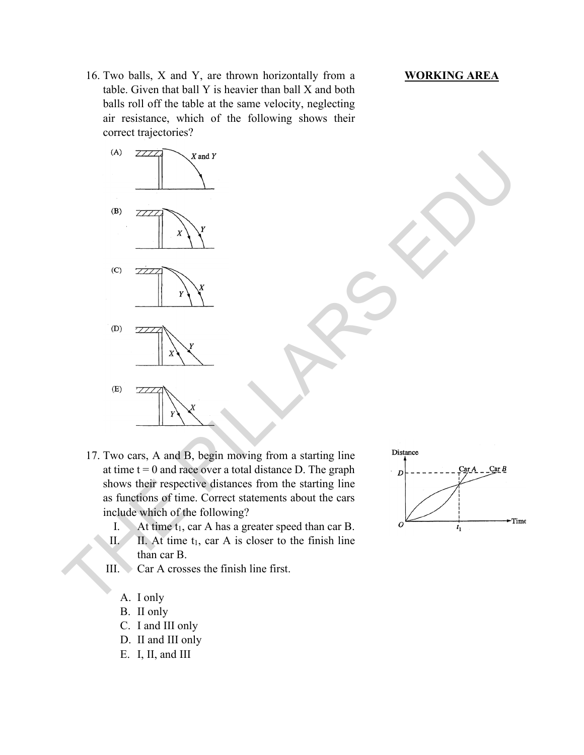16. Two balls, X and Y, are thrown horizontally from a table. Given that ball Y is heavier than ball X and both balls roll off the table at the same velocity, neglecting air resistance, which of the following shows their correct trajectories?



- 17. Two cars, A and B, begin moving from a starting line at time  $t = 0$  and race over a total distance D. The graph shows their respective distances from the starting line as functions of time. Correct statements about the cars include which of the following?
	- I. At time  $t_1$ , car A has a greater speed than car B.
	- II. II. At time  $t_1$ , car A is closer to the finish line than car B.
	- III. Car A crosses the finish line first.

A. I only

- B. II only
- C. I and III only
- D. II and III only
- E. I, II, and III